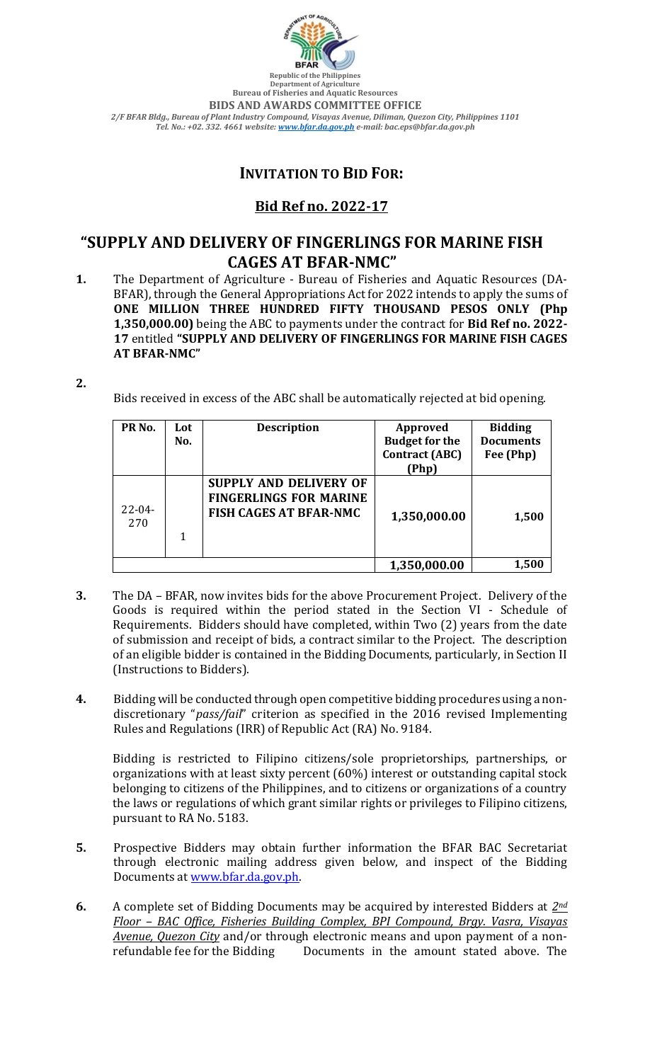

**Republic of the Philippines Department of Agriculture Bureau of Fisheries and Aquatic Resources BIDS AND AWARDS COMMITTEE OFFICE** *2/F BFAR Bldg., Bureau of Plant Industry Compound, Visayas Avenue, Diliman, Quezon City, Philippines 1101 Tel. No.: +02. 332. 4661 website[: www.bfar.da.gov.ph](http://www.bfar.da.gov.ph/) e-mail: bac.eps@bfar.da.gov.ph*

## **INVITATION TO BID FOR:**

## **Bid Ref no. 2022-17**

## **"SUPPLY AND DELIVERY OF FINGERLINGS FOR MARINE FISH CAGES AT BFAR-NMC"**

**1.** The Department of Agriculture - Bureau of Fisheries and Aquatic Resources (DA-BFAR), through the General Appropriations Act for 2022 intends to apply the sums of **ONE MILLION THREE HUNDRED FIFTY THOUSAND PESOS ONLY (Php 1,350,000.00)** being the ABC to payments under the contract for **Bid Ref no. 2022- 17** entitled **"SUPPLY AND DELIVERY OF FINGERLINGS FOR MARINE FISH CAGES AT BFAR-NMC"**

**2.**

Bids received in excess of the ABC shall be automatically rejected at bid opening.

| PR <sub>No.</sub>  | Lot<br>No. | <b>Description</b>                                                                       | Approved<br><b>Budget for the</b><br><b>Contract (ABC)</b><br>Php) | <b>Bidding</b><br><b>Documents</b><br>Fee (Php) |
|--------------------|------------|------------------------------------------------------------------------------------------|--------------------------------------------------------------------|-------------------------------------------------|
| $22 - 04 -$<br>270 |            | SUPPLY AND DELIVERY OF<br><b>FINGERLINGS FOR MARINE</b><br><b>FISH CAGES AT BFAR-NMC</b> | 1,350,000.00                                                       | 1,500                                           |
|                    |            |                                                                                          | 1,350,000.00                                                       | 1,500                                           |

- **3.** The DA BFAR, now invites bids for the above Procurement Project. Delivery of the Goods is required within the period stated in the Section VI - Schedule of Requirements. Bidders should have completed, within Two (2) years from the date of submission and receipt of bids, a contract similar to the Project. The description of an eligible bidder is contained in the Bidding Documents, particularly, in Section II (Instructions to Bidders).
- **4.** Bidding will be conducted through open competitive bidding procedures using a nondiscretionary "*pass/fail*" criterion as specified in the 2016 revised Implementing Rules and Regulations (IRR) of Republic Act (RA) No. 9184.

Bidding is restricted to Filipino citizens/sole proprietorships, partnerships, or organizations with at least sixty percent (60%) interest or outstanding capital stock belonging to citizens of the Philippines, and to citizens or organizations of a country the laws or regulations of which grant similar rights or privileges to Filipino citizens, pursuant to RA No. 5183.

- **5.** Prospective Bidders may obtain further information the BFAR BAC Secretariat through electronic mailing address given below, and inspect of the Bidding Documents at [www.bfar.da.gov.ph.](http://www.bfar.da.gov.ph/)
- **6.** A complete set of Bidding Documents may be acquired by interested Bidders at *2nd Floor – BAC Office, Fisheries Building Complex, BPI Compound, Brgy. Vasra, Visayas Avenue, Quezon City* and/or through electronic means and upon payment of a nonrefundable fee for the Bidding Documents in the amount stated above. The